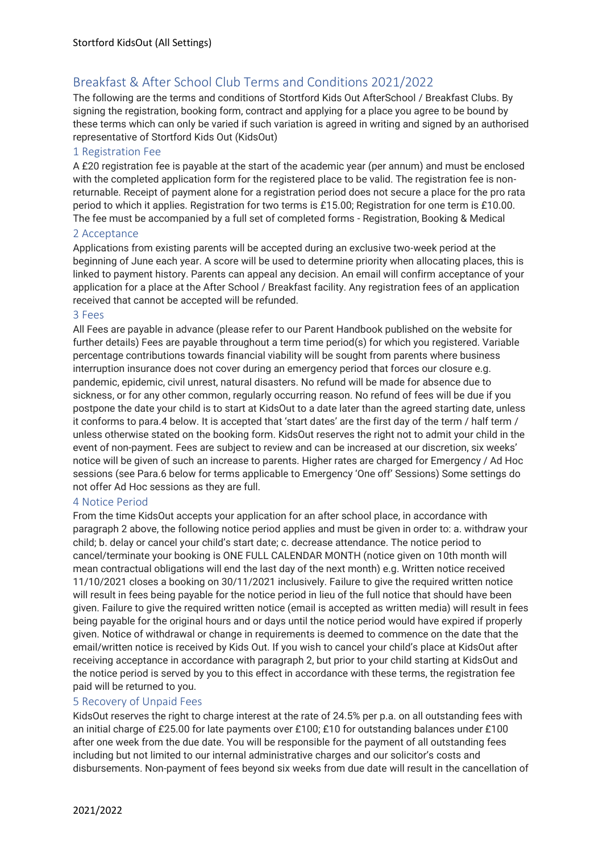# Breakfast & After School Club Terms and Conditions 2021/2022

The following are the terms and conditions of Stortford Kids Out AfterSchool / Breakfast Clubs. By signing the registration, booking form, contract and applying for a place you agree to be bound by these terms which can only be varied if such variation is agreed in writing and signed by an authorised representative of Stortford Kids Out (KidsOut)

#### 1 Registration Fee

A £20 registration fee is payable at the start of the academic year (per annum) and must be enclosed with the completed application form for the registered place to be valid. The registration fee is nonreturnable. Receipt of payment alone for a registration period does not secure a place for the pro rata period to which it applies. Registration for two terms is £15.00; Registration for one term is £10.00. The fee must be accompanied by a full set of completed forms - Registration, Booking & Medical

#### 2 Acceptance

Applications from existing parents will be accepted during an exclusive two-week period at the beginning of June each year. A score will be used to determine priority when allocating places, this is linked to payment history. Parents can appeal any decision. An email will confirm acceptance of your application for a place at the After School / Breakfast facility. Any registration fees of an application received that cannot be accepted will be refunded.

#### 3 Fees

All Fees are payable in advance (please refer to our Parent Handbook published on the website for further details) Fees are payable throughout a term time period(s) for which you registered. Variable percentage contributions towards financial viability will be sought from parents where business interruption insurance does not cover during an emergency period that forces our closure e.g. pandemic, epidemic, civil unrest, natural disasters. No refund will be made for absence due to sickness, or for any other common, regularly occurring reason. No refund of fees will be due if you postpone the date your child is to start at KidsOut to a date later than the agreed starting date, unless it conforms to para.4 below. It is accepted that 'start dates' are the first day of the term / half term / unless otherwise stated on the booking form. KidsOut reserves the right not to admit your child in the event of non-payment. Fees are subject to review and can be increased at our discretion, six weeks' notice will be given of such an increase to parents. Higher rates are charged for Emergency / Ad Hoc sessions (see Para.6 below for terms applicable to Emergency 'One off' Sessions) Some settings do not offer Ad Hoc sessions as they are full.

# 4 Notice Period

From the time KidsOut accepts your application for an after school place, in accordance with paragraph 2 above, the following notice period applies and must be given in order to: a. withdraw your child; b. delay or cancel your child's start date; c. decrease attendance. The notice period to cancel/terminate your booking is ONE FULL CALENDAR MONTH (notice given on 10th month will mean contractual obligations will end the last day of the next month) e.g. Written notice received 11/10/2021 closes a booking on 30/11/2021 inclusively. Failure to give the required written notice will result in fees being payable for the notice period in lieu of the full notice that should have been given. Failure to give the required written notice (email is accepted as written media) will result in fees being payable for the original hours and or days until the notice period would have expired if properly given. Notice of withdrawal or change in requirements is deemed to commence on the date that the email/written notice is received by Kids Out. If you wish to cancel your child's place at KidsOut after receiving acceptance in accordance with paragraph 2, but prior to your child starting at KidsOut and the notice period is served by you to this effect in accordance with these terms, the registration fee paid will be returned to you.

# 5 Recovery of Unpaid Fees

KidsOut reserves the right to charge interest at the rate of 24.5% per p.a. on all outstanding fees with an initial charge of £25.00 for late payments over £100; £10 for outstanding balances under £100 after one week from the due date. You will be responsible for the payment of all outstanding fees including but not limited to our internal administrative charges and our solicitor's costs and disbursements. Non-payment of fees beyond six weeks from due date will result in the cancellation of